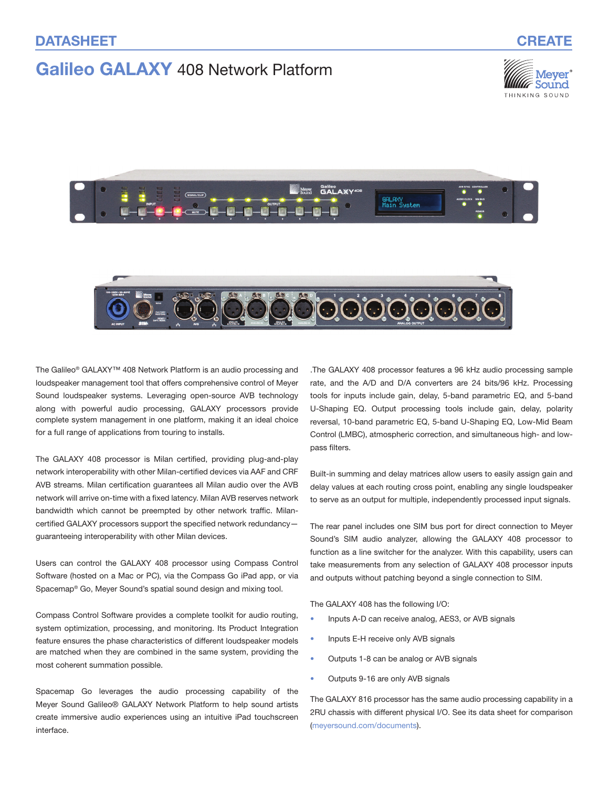# Galileo GALAXY 408 Network Platform





The Galileo® GALAXY™ 408 Network Platform is an audio processing and loudspeaker management tool that offers comprehensive control of Meyer Sound loudspeaker systems. Leveraging open-source AVB technology along with powerful audio processing, GALAXY processors provide complete system management in one platform, making it an ideal choice for a full range of applications from touring to installs.

The GALAXY 408 processor is Milan certified, providing plug-and-play network interoperability with other Milan-certified devices via AAF and CRF AVB streams. Milan certification guarantees all Milan audio over the AVB network will arrive on-time with a fixed latency. Milan AVB reserves network bandwidth which cannot be preempted by other network traffic. Milancertified GALAXY processors support the specified network redundancy guaranteeing interoperability with other Milan devices.

Users can control the GALAXY 408 processor using Compass Control Software (hosted on a Mac or PC), via the Compass Go iPad app, or via Spacemap® Go, Meyer Sound's spatial sound design and mixing tool.

Compass Control Software provides a complete toolkit for audio routing, system optimization, processing, and monitoring. Its Product Integration feature ensures the phase characteristics of different loudspeaker models are matched when they are combined in the same system, providing the most coherent summation possible.

Spacemap Go leverages the audio processing capability of the Meyer Sound Galileo® GALAXY Network Platform to help sound artists create immersive audio experiences using an intuitive iPad touchscreen interface.

.The GALAXY 408 processor features a 96 kHz audio processing sample rate, and the A/D and D/A converters are 24 bits/96 kHz. Processing tools for inputs include gain, delay, 5-band parametric EQ, and 5-band U-Shaping EQ. Output processing tools include gain, delay, polarity reversal, 10-band parametric EQ, 5-band U-Shaping EQ, Low-Mid Beam Control (LMBC), atmospheric correction, and simultaneous high- and lowpass filters.

Built-in summing and delay matrices allow users to easily assign gain and delay values at each routing cross point, enabling any single loudspeaker to serve as an output for multiple, independently processed input signals.

The rear panel includes one SIM bus port for direct connection to Meyer Sound's SIM audio analyzer, allowing the GALAXY 408 processor to function as a line switcher for the analyzer. With this capability, users can take measurements from any selection of GALAXY 408 processor inputs and outputs without patching beyond a single connection to SIM.

The GALAXY 408 has the following I/O:

- Inputs A-D can receive analog, AES3, or AVB signals
- Inputs E-H receive only AVB signals
- Outputs 1-8 can be analog or AVB signals
- Outputs 9-16 are only AVB signals

The GALAXY 816 processor has the same audio processing capability in a 2RU chassis with different physical I/O. See its data sheet for comparison [\(meyersound.com/documents](https://meyersound.com/documents)).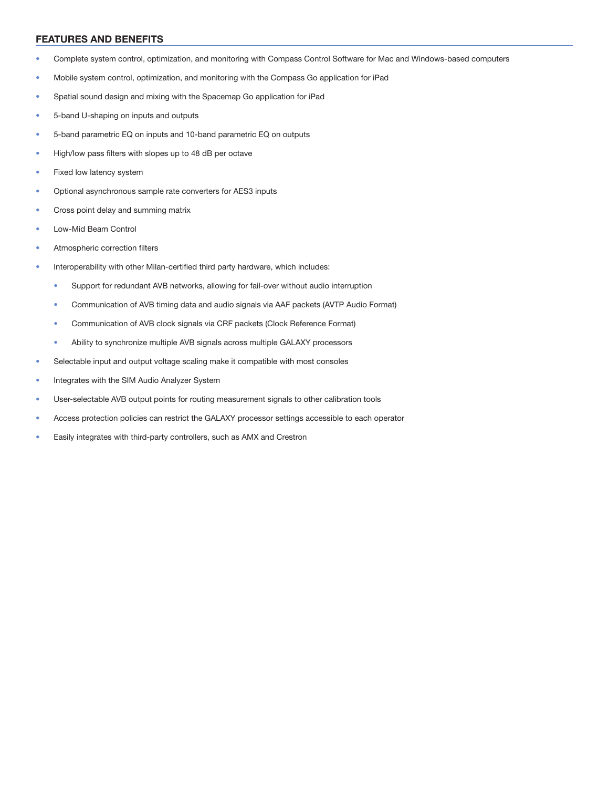#### FEATURES AND BENEFITS

- Complete system control, optimization, and monitoring with Compass Control Software for Mac and Windows-based computers
- Mobile system control, optimization, and monitoring with the Compass Go application for iPad
- Spatial sound design and mixing with the Spacemap Go application for iPad
- 5-band U-shaping on inputs and outputs
- 5-band parametric EQ on inputs and 10-band parametric EQ on outputs
- High/low pass filters with slopes up to 48 dB per octave
- Fixed low latency system
- Optional asynchronous sample rate converters for AES3 inputs
- Cross point delay and summing matrix
- Low-Mid Beam Control
- Atmospheric correction filters
- Interoperability with other Milan-certified third party hardware, which includes:
	- Support for redundant AVB networks, allowing for fail-over without audio interruption
	- Communication of AVB timing data and audio signals via AAF packets (AVTP Audio Format)
	- Communication of AVB clock signals via CRF packets (Clock Reference Format)
	- Ability to synchronize multiple AVB signals across multiple GALAXY processors
- Selectable input and output voltage scaling make it compatible with most consoles
- Integrates with the SIM Audio Analyzer System
- User-selectable AVB output points for routing measurement signals to other calibration tools
- Access protection policies can restrict the GALAXY processor settings accessible to each operator
- Easily integrates with third-party controllers, such as AMX and Crestron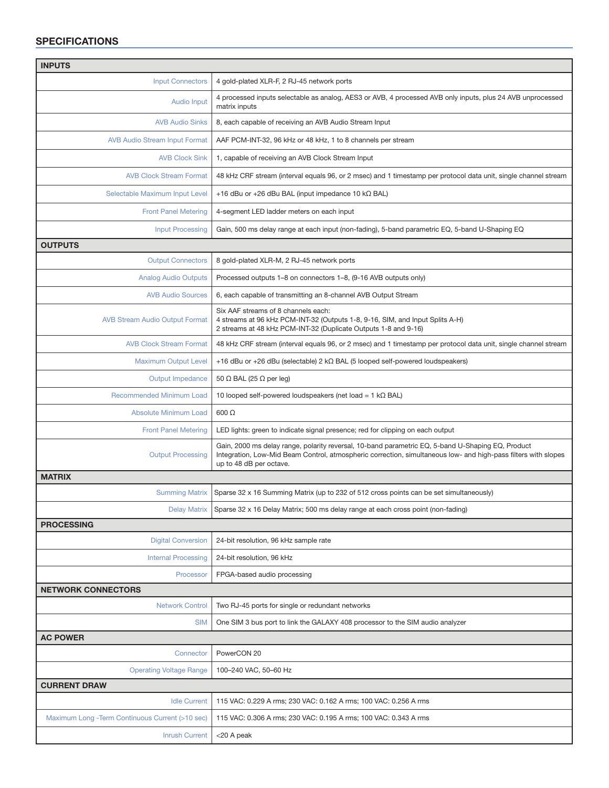## SPECIFICATIONS

| <b>INPUTS</b>                                    |                                                                                                                                                                                                                                                |
|--------------------------------------------------|------------------------------------------------------------------------------------------------------------------------------------------------------------------------------------------------------------------------------------------------|
| <b>Input Connectors</b>                          | 4 gold-plated XLR-F, 2 RJ-45 network ports                                                                                                                                                                                                     |
| <b>Audio Input</b>                               | 4 processed inputs selectable as analog, AES3 or AVB, 4 processed AVB only inputs, plus 24 AVB unprocessed<br>matrix inputs                                                                                                                    |
| <b>AVB Audio Sinks</b>                           | 8, each capable of receiving an AVB Audio Stream Input                                                                                                                                                                                         |
| <b>AVB Audio Stream Input Format</b>             | AAF PCM-INT-32, 96 kHz or 48 kHz, 1 to 8 channels per stream                                                                                                                                                                                   |
| <b>AVB Clock Sink</b>                            | 1, capable of receiving an AVB Clock Stream Input                                                                                                                                                                                              |
| <b>AVB Clock Stream Format</b>                   | 48 kHz CRF stream (interval equals 96, or 2 msec) and 1 timestamp per protocol data unit, single channel stream                                                                                                                                |
| Selectable Maximum Input Level                   | +16 dBu or +26 dBu BAL (input impedance 10 $k\Omega$ BAL)                                                                                                                                                                                      |
| <b>Front Panel Metering</b>                      | 4-segment LED ladder meters on each input                                                                                                                                                                                                      |
| <b>Input Processing</b>                          | Gain, 500 ms delay range at each input (non-fading), 5-band parametric EQ, 5-band U-Shaping EQ                                                                                                                                                 |
| <b>OUTPUTS</b>                                   |                                                                                                                                                                                                                                                |
| <b>Output Connectors</b>                         | 8 gold-plated XLR-M, 2 RJ-45 network ports                                                                                                                                                                                                     |
| <b>Analog Audio Outputs</b>                      | Processed outputs 1–8 on connectors 1–8, (9-16 AVB outputs only)                                                                                                                                                                               |
| <b>AVB Audio Sources</b>                         | 6, each capable of transmitting an 8-channel AVB Output Stream                                                                                                                                                                                 |
| <b>AVB Stream Audio Output Format</b>            | Six AAF streams of 8 channels each:<br>4 streams at 96 kHz PCM-INT-32 (Outputs 1-8, 9-16, SIM, and Input Splits A-H)<br>2 streams at 48 kHz PCM-INT-32 (Duplicate Outputs 1-8 and 9-16)                                                        |
| <b>AVB Clock Stream Format</b>                   | 48 kHz CRF stream (interval equals 96, or 2 msec) and 1 timestamp per protocol data unit, single channel stream                                                                                                                                |
| <b>Maximum Output Level</b>                      | +16 dBu or +26 dBu (selectable) $2 k\Omega$ BAL (5 looped self-powered loudspeakers)                                                                                                                                                           |
| <b>Output Impedance</b>                          | 50 $\Omega$ BAL (25 $\Omega$ per leg)                                                                                                                                                                                                          |
| <b>Recommended Minimum Load</b>                  | 10 looped self-powered loudspeakers (net load = $1 k\Omega$ BAL)                                                                                                                                                                               |
| <b>Absolute Minimum Load</b>                     | $600 \Omega$                                                                                                                                                                                                                                   |
| <b>Front Panel Metering</b>                      | LED lights: green to indicate signal presence; red for clipping on each output                                                                                                                                                                 |
| <b>Output Processing</b>                         | Gain, 2000 ms delay range, polarity reversal, 10-band parametric EQ, 5-band U-Shaping EQ, Product<br>Integration, Low-Mid Beam Control, atmospheric correction, simultaneous low- and high-pass filters with slopes<br>up to 48 dB per octave. |
| <b>MATRIX</b>                                    |                                                                                                                                                                                                                                                |
| <b>Summing Matrix</b>                            | Sparse 32 x 16 Summing Matrix (up to 232 of 512 cross points can be set simultaneously)                                                                                                                                                        |
| <b>Delay Matrix</b>                              | Sparse 32 x 16 Delay Matrix; 500 ms delay range at each cross point (non-fading)                                                                                                                                                               |
| <b>PROCESSING</b>                                |                                                                                                                                                                                                                                                |
| <b>Digital Conversion</b>                        | 24-bit resolution, 96 kHz sample rate                                                                                                                                                                                                          |
| <b>Internal Processing</b>                       | 24-bit resolution, 96 kHz                                                                                                                                                                                                                      |
| Processor                                        | FPGA-based audio processing                                                                                                                                                                                                                    |
| <b>NETWORK CONNECTORS</b>                        |                                                                                                                                                                                                                                                |
| <b>Network Control</b>                           | Two RJ-45 ports for single or redundant networks                                                                                                                                                                                               |
| <b>SIM</b>                                       | One SIM 3 bus port to link the GALAXY 408 processor to the SIM audio analyzer                                                                                                                                                                  |
| <b>AC POWER</b>                                  |                                                                                                                                                                                                                                                |
| Connector                                        | PowerCON 20                                                                                                                                                                                                                                    |
| <b>Operating Voltage Range</b>                   | 100-240 VAC, 50-60 Hz                                                                                                                                                                                                                          |
| <b>CURRENT DRAW</b>                              |                                                                                                                                                                                                                                                |
| <b>Idle Current</b>                              | 115 VAC: 0.229 A rms; 230 VAC: 0.162 A rms; 100 VAC: 0.256 A rms                                                                                                                                                                               |
| Maximum Long - Term Continuous Current (>10 sec) | 115 VAC: 0.306 A rms; 230 VAC: 0.195 A rms; 100 VAC: 0.343 A rms                                                                                                                                                                               |
| <b>Inrush Current</b>                            | $<$ 20 A peak                                                                                                                                                                                                                                  |